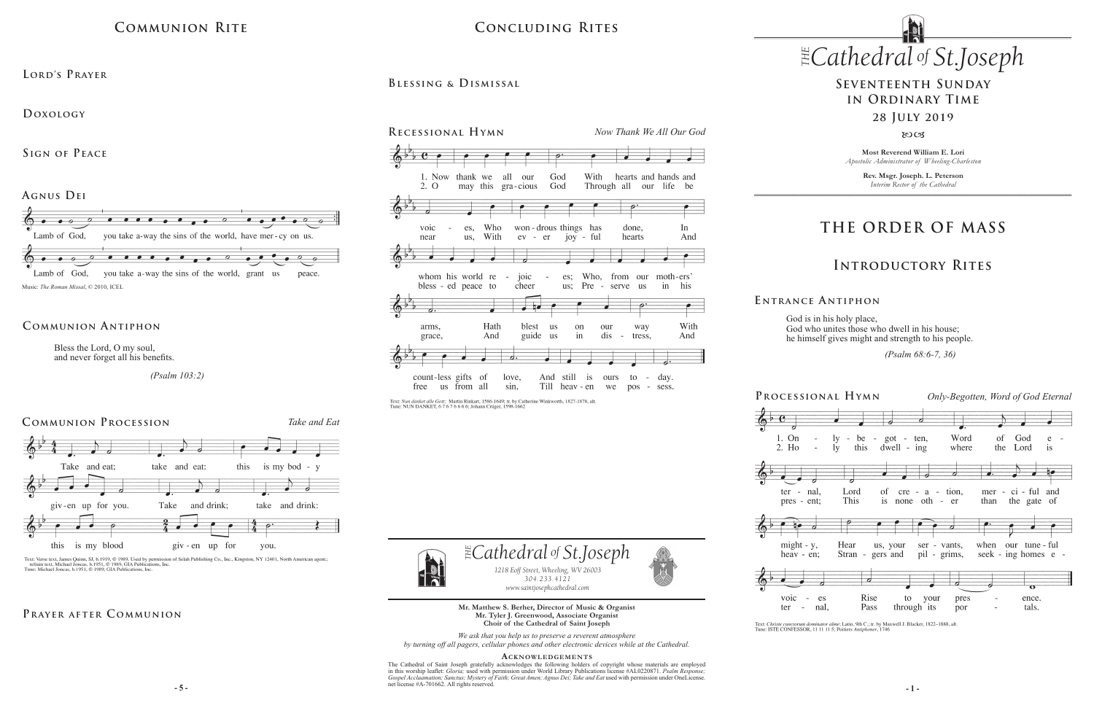# **THE ORDER OF MASS**

### **Introductory Rites**

## **Seventeenth Sunday in Ordinary Time 28 July 2019**

#### $80C<sub>3</sub>$









God is in his holy place, God who unites those who dwell in his house; he himself gives might and strength to his people.

 *(Psalm 68:6-7, 36)*

Text: Christe cunctorum dominator alme; Latin, 9th C.; tr. by Maxwell J. Blacker, 1822-1888, alt. Tune: ISTE CONFESSOR, 11 11 11 5; Poitiers Antiphoner, 1746

**E ntrance A ntiphon**

 $\exists$  *Cathedral* of *St Joseph 1218 Eoff Street, Wheeling, WV 26003 304.233.4121 304.233.4121 www.saintjosephcathedral.com*

**Most Reverend William E. Lori** *Apostolic Administrator of Wheeling-Charleston*

> **Rev. Msgr. Joseph. L. Peterson** *Interim Rector of the Cathedral*

*www.saintjosephcathedral.com*

 $\frac{1}{2}$  **-5** -The Cathedral of Saint Joseph gratefully acknowledges the following holders of copyright whose materials are employed in this worship leaflet: *Gloria;* used with permission under World Library Publications license #AL0220871. *Psalm Response;*  Gospel Acclaamation; Sanctus; Mystery of Faith; Great Amen; Agnus Dei; Take and Eat used with permission under OneLicense. net license #A-701662. All rights reserved.



**Mr. Matthew S. Berher, Director of Music & Organist Mr. Tyler J. Greenwood, Associate Organist Choir of the Cathedral of Saint Joseph**

# $CONCLUDING RITES$  *Cathedral St THE of .Joseph* **Concluding Rites**

*We ask that you help us to preserve a reverent atmosphere by turning off all pagers, cellular phones and other electronic devices while at the Cathedral.*

**Acknowledgement s**

Bless the Lord, O my soul, and never forget all his benefits.

 *(Psalm 103:2)*

#### **Communion Antiphon**

## **Communion Rite**

**Agnus Dei** 



**Doxology** 

**Sign of Peace** 



Text: Verse text, James Quinn, SJ, b.1919, © 1989. Used by permission of Selah Publishing Co., Inc., Kingston, NY 12401, North American agent.; refrain text, Michael Joncas, b.1951, © 1989, GIA Publications, Inc.<br>Tune: Mic

#### PRAYER AFTER COMMUNION

**Blessing & Dismissal**